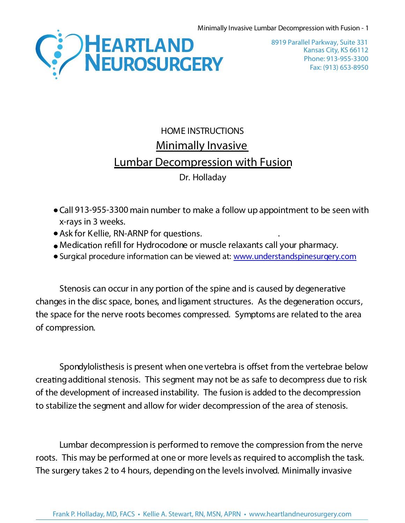

Kansas City, KS 66112 Phone: 913-955-3300 Fax: (913) 653-8950 8919 Parallel Parkway, Suite 331

## HOME INSTRUCTIONS **Minimally Invasive Lumbar Decompression with Fusion** Dr. Holladay

- Call **913-955-3300** main number to make a follow up appointment to be seen with x-rays in 3 weeks.
- Ask for Kellie, RN-ARNP for questions.
- Medication refill for Hydrocodone or muscle relaxants call your pharmacy.
- Surgical procedure information can be viewed at: [www.understandspinesurgery.com](http://www.understandspinesurgery.com/)

Stenosis can occur in any portion of the spine and is caused by degenerative changes in the disc space, bones, and ligament structures. As the degeneration occurs, the space for the nerve roots becomes compressed. Symptoms are related to the area of compression.

Spondylolisthesis is present when one vertebra is offset from the vertebrae below creating additional stenosis. This segment may not be as safe to decompress due to risk of the development of increased instability. The fusion is added to the decompression to stabilize the segment and allow for wider decompression of the area of stenosis.

Lumbar decompression is performed to remove the compression from the nerve roots. This may be performed at one or more levels as required to accomplish the task. The surgery takes 2 to 4 hours, depending on the levelsinvolved. Minimally invasive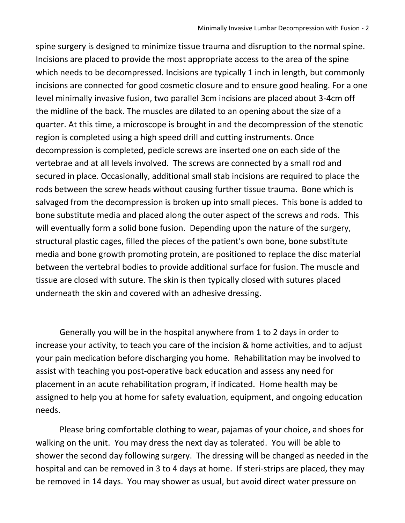spine surgery is designed to minimize tissue trauma and disruption to the normal spine. Incisions are placed to provide the most appropriate access to the area of the spine which needs to be decompressed. Incisions are typically 1 inch in length, but commonly incisions are connected for good cosmetic closure and to ensure good healing. For a one level minimally invasive fusion, two parallel 3cm incisions are placed about 3-4cm off the midline of the back. The muscles are dilated to an opening about the size of a quarter. At this time, a microscope is brought in and the decompression of the stenotic region is completed using a high speed drill and cutting instruments. Once decompression is completed, pedicle screws are inserted one on each side of the vertebrae and at all levels involved. The screws are connected by a small rod and secured in place. Occasionally, additional small stab incisions are required to place the rods between the screw heads without causing further tissue trauma. Bone which is salvaged from the decompression is broken up into small pieces. This bone is added to bone substitute media and placed along the outer aspect of the screws and rods. This will eventually form a solid bone fusion. Depending upon the nature of the surgery, structural plastic cages, filled the pieces of the patient's own bone, bone substitute media and bone growth promoting protein, are positioned to replace the disc material between the vertebral bodies to provide additional surface for fusion. The muscle and tissue are closed with suture. The skin is then typically closed with sutures placed underneath the skin and covered with an adhesive dressing.

Generally you will be in the hospital anywhere from 1 to 2 days in order to increase your activity, to teach you care of the incision & home activities, and to adjust your pain medication before discharging you home. Rehabilitation may be involved to assist with teaching you post-operative back education and assess any need for placement in an acute rehabilitation program, if indicated. Home health may be assigned to help you at home for safety evaluation, equipment, and ongoing education needs.

Please bring comfortable clothing to wear, pajamas of your choice, and shoes for walking on the unit. You may dress the next day as tolerated. You will be able to shower the second day following surgery. The dressing will be changed as needed in the hospital and can be removed in 3 to 4 days at home. If steri-strips are placed, they may be removed in 14 days. You may shower as usual, but avoid direct water pressure on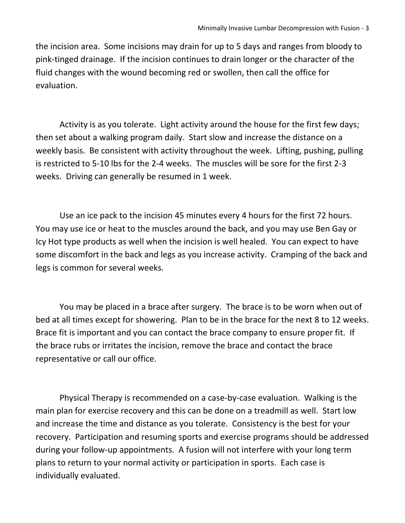the incision area. Some incisions may drain for up to 5 days and ranges from bloody to pink-tinged drainage. If the incision continues to drain longer or the character of the fluid changes with the wound becoming red or swollen, then call the office for evaluation.

Activity is as you tolerate. Light activity around the house for the first few days; then set about a walking program daily. Start slow and increase the distance on a weekly basis. Be consistent with activity throughout the week. Lifting, pushing, pulling is restricted to 5-10 lbs for the 2-4 weeks. The muscles will be sore for the first 2-3 weeks. Driving can generally be resumed in 1 week.

Use an ice pack to the incision 45 minutes every 4 hours for the first 72 hours. You may use ice or heat to the muscles around the back, and you may use Ben Gay or Icy Hot type products as well when the incision is well healed. You can expect to have some discomfort in the back and legs as you increase activity. Cramping of the back and legs is common for several weeks.

You may be placed in a brace after surgery. The brace is to be worn when out of bed at all times except for showering. Plan to be in the brace for the next 8 to 12 weeks. Brace fit is important and you can contact the brace company to ensure proper fit. If the brace rubs or irritates the incision, remove the brace and contact the brace representative or call our office.

Physical Therapy is recommended on a case-by-case evaluation. Walking is the main plan for exercise recovery and this can be done on a treadmill as well. Start low and increase the time and distance as you tolerate. Consistency is the best for your recovery. Participation and resuming sports and exercise programs should be addressed during your follow-up appointments. A fusion will not interfere with your long term plans to return to your normal activity or participation in sports. Each case is individually evaluated.